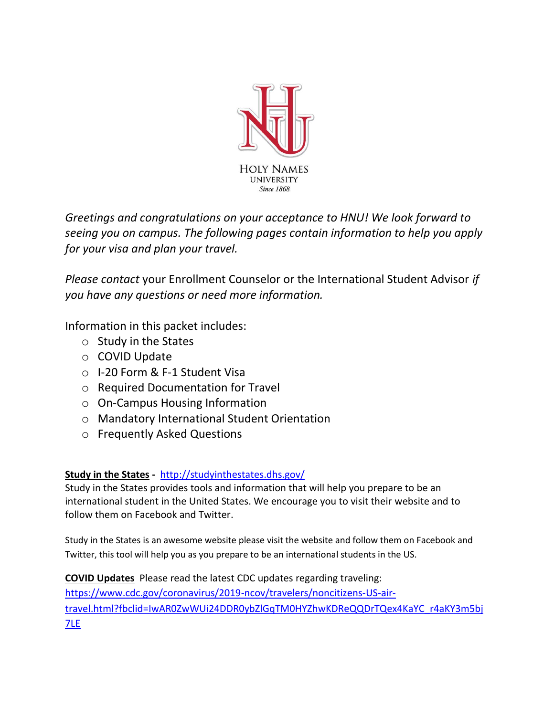

*Greetings and congratulations on your acceptance to HNU! We look forward to seeing you on campus. The following pages contain information to help you apply for your visa and plan your travel.* 

*Please contact* your Enrollment Counselor or the International Student Advisor *if you have any questions or need more information.*

Information in this packet includes:

- o Study in the States
- o COVID Update
- o I-20 Form & F-1 Student Visa
- o Required Documentation for Travel
- o On-Campus Housing Information
- o Mandatory International Student Orientation
- o Frequently Asked Questions

# **Study in the States -** <http://studyinthestates.dhs.gov/>

Study in the States provides tools and information that will help you prepare to be an international student in the United States. We encourage you to visit their website and to follow them on Facebook and Twitter.

Study in the States is an awesome website please visit the website and follow them on Facebook and Twitter, this tool will help you as you prepare to be an international students in the US.

**COVID Updates** Please read the latest CDC updates regarding traveling: [https://www.cdc.gov/coronavirus/2019-ncov/travelers/noncitizens-US-air](https://www.cdc.gov/coronavirus/2019-ncov/travelers/noncitizens-US-air-travel.html?fbclid=IwAR0ZwWUi24DDR0ybZlGqTM0HYZhwKDReQQDrTQex4KaYC_r4aKY3m5bj7LE)[travel.html?fbclid=IwAR0ZwWUi24DDR0ybZlGqTM0HYZhwKDReQQDrTQex4KaYC\\_r4aKY3m5bj](https://www.cdc.gov/coronavirus/2019-ncov/travelers/noncitizens-US-air-travel.html?fbclid=IwAR0ZwWUi24DDR0ybZlGqTM0HYZhwKDReQQDrTQex4KaYC_r4aKY3m5bj7LE) [7LE](https://www.cdc.gov/coronavirus/2019-ncov/travelers/noncitizens-US-air-travel.html?fbclid=IwAR0ZwWUi24DDR0ybZlGqTM0HYZhwKDReQQDrTQex4KaYC_r4aKY3m5bj7LE)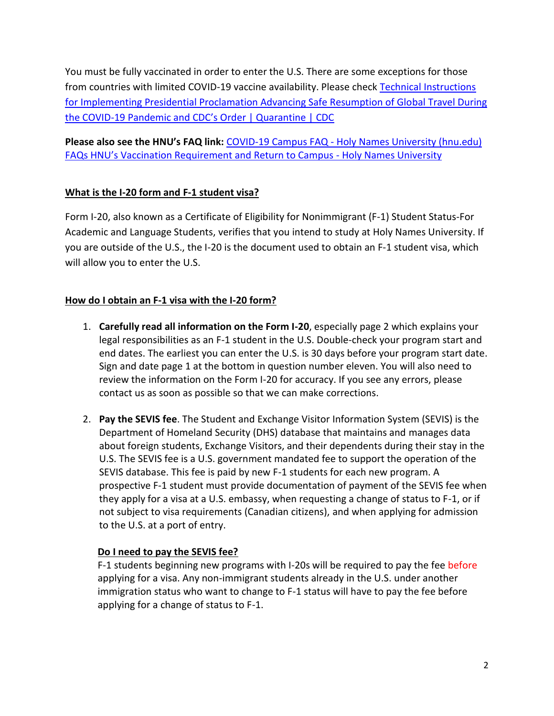You must be fully vaccinated in order to enter the U.S. There are some exceptions for those from countries with limited COVID-19 vaccine availability. Please check [Technical Instructions](https://www.cdc.gov/quarantine/order-safe-travel/technical-instructions.html?fbclid=IwAR0tr2GCeuxxYNnYApY6ii2j6npH4pvpJqv_0wihKISlGNEZ1D5t24DWu70#anchor_1635183089047)  [for Implementing Presidential Proclamation Advancing Safe Resumption of Global Travel During](https://www.cdc.gov/quarantine/order-safe-travel/technical-instructions.html?fbclid=IwAR0tr2GCeuxxYNnYApY6ii2j6npH4pvpJqv_0wihKISlGNEZ1D5t24DWu70#anchor_1635183089047)  the COVID-[19 Pandemic and CDC's Order | Quarantine | CDC](https://www.cdc.gov/quarantine/order-safe-travel/technical-instructions.html?fbclid=IwAR0tr2GCeuxxYNnYApY6ii2j6npH4pvpJqv_0wihKISlGNEZ1D5t24DWu70#anchor_1635183089047)

**Please also see the HNU's FAQ link:** COVID-19 Campus FAQ - [Holy Names University \(hnu.edu\)](https://hnu.edu/news/covid-19-campus-faq/) [FAQs HNU's Vaccination Requirement and Return to Campus](https://hnu.edu/news/faqs-hnus-vaccination-requirement-and-return-to-campus/) - Holy Names University

# **What is the I-20 form and F-1 student visa?**

Form I-20, also known as a Certificate of Eligibility for Nonimmigrant (F-1) Student Status-For Academic and Language Students, verifies that you intend to study at Holy Names University. If you are outside of the U.S., the I-20 is the document used to obtain an F-1 student visa, which will allow you to enter the U.S.

# **How do I obtain an F-1 visa with the I-20 form?**

- 1. **Carefully read all information on the Form I-20**, especially page 2 which explains your legal responsibilities as an F-1 student in the U.S. Double-check your program start and end dates. The earliest you can enter the U.S. is 30 days before your program start date. Sign and date page 1 at the bottom in question number eleven. You will also need to review the information on the Form I-20 for accuracy. If you see any errors, please contact us as soon as possible so that we can make corrections.
- 2. **Pay the SEVIS fee**. The Student and Exchange Visitor Information System (SEVIS) is the Department of Homeland Security (DHS) database that maintains and manages data about foreign students, Exchange Visitors, and their dependents during their stay in the U.S. The SEVIS fee is a U.S. government mandated fee to support the operation of the SEVIS database. This fee is paid by new F-1 students for each new program. A prospective F-1 student must provide documentation of payment of the SEVIS fee when they apply for a visa at a U.S. embassy, when requesting a change of status to F-1, or if not subject to visa requirements (Canadian citizens), and when applying for admission to the U.S. at a port of entry.

# **Do I need to pay the SEVIS fee?**

F-1 students beginning new programs with I-20s will be required to pay the fee before applying for a visa. Any non-immigrant students already in the U.S. under another immigration status who want to change to F-1 status will have to pay the fee before applying for a change of status to F-1.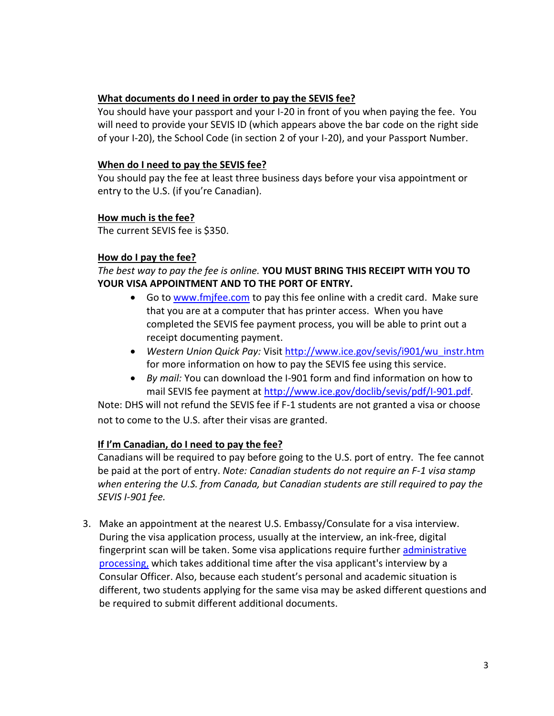#### **What documents do I need in order to pay the SEVIS fee?**

You should have your passport and your I-20 in front of you when paying the fee. You will need to provide your SEVIS ID (which appears above the bar code on the right side of your I-20), the School Code (in section 2 of your I-20), and your Passport Number.

# **When do I need to pay the SEVIS fee?**

You should pay the fee at least three business days before your visa appointment or entry to the U.S. (if you're Canadian).

#### **How much is the fee?**

The current SEVIS fee is \$350.

#### **How do I pay the fee?**

*The best way to pay the fee is online.* **YOU MUST BRING THIS RECEIPT WITH YOU TO YOUR VISA APPOINTMENT AND TO THE PORT OF ENTRY.**

- Go t[o www.fmjfee.com](http://www.fmjfee.com/) to pay this fee online with a credit card. Make sure that you are at a computer that has printer access. When you have completed the SEVIS fee payment process, you will be able to print out a receipt documenting payment.
- *Western Union Quick Pay: Visit [http://www.ice.gov/sevis/i901/wu\\_instr.htm](http://www.ice.gov/sevis/i901/wu_instr.htm)* for more information on how to pay the SEVIS fee using this service.
- *By mail:* You can download the I-901 form and find information on how to mail SEVIS fee payment at [http://www.ice.gov/doclib/sevis/pdf/I-901.pdf.](http://www.ice.gov/doclib/sevis/pdf/I-901.pdf)

Note: DHS will not refund the SEVIS fee if F-1 students are not granted a visa or choose not to come to the U.S. after their visas are granted.

# **If I'm Canadian, do I need to pay the fee?**

Canadians will be required to pay before going to the U.S. port of entry. The fee cannot be paid at the port of entry. *Note: Canadian students do not require an F-1 visa stamp when entering the U.S. from Canada, but Canadian students are still required to pay the SEVIS I-901 fee.*

3. Make an appointment at the nearest U.S. Embassy/Consulate for a visa interview. During the visa application process, usually at the interview, an ink-free, digital fingerprint scan will be taken. Some visa applications require further [administrative](http://travel.state.gov/visa/a_zindex/a_zindex_4353.html)  [processing,](http://travel.state.gov/visa/a_zindex/a_zindex_4353.html) which takes additional time after the visa applicant's interview by a Consular Officer. Also, because each student's personal and academic situation is different, two students applying for the same visa may be asked different questions and be required to submit different additional documents.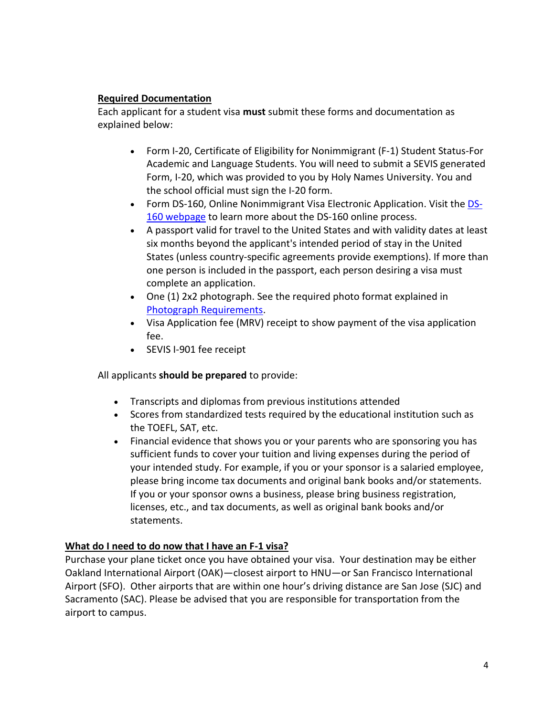#### **Required Documentation**

Each applicant for a student visa **must** submit these forms and documentation as explained below:

- Form I-20, Certificate of Eligibility for Nonimmigrant (F-1) Student Status-For Academic and Language Students. You will need to submit a SEVIS generated Form, I-20, which was provided to you by Holy Names University. You and the school official must sign the I-20 form.
- Form DS-160, Online Nonimmigrant Visa Electronic Application. Visit the [DS-](http://travel.state.gov/visa/forms/forms_4230.html)[160 webpage](http://travel.state.gov/visa/forms/forms_4230.html) to learn more about the DS-160 online process.
- A passport valid for travel to the United States and with validity dates at least six months beyond the applicant's intended period of stay in the United States (unless country-specific agreements provide exemptions). If more than one person is included in the passport, each person desiring a visa must complete an application.
- One (1) 2x2 photograph. See the required photo format explained in [Photograph Requirements.](http://travel.state.gov/visa/visaphotoreq/visaphotoreq_5334.html)
- Visa Application fee (MRV) receipt to show payment of the visa application fee.
- SEVIS I-901 fee receipt

All applicants **should be prepared** to provide:

- Transcripts and diplomas from previous institutions attended
- Scores from standardized tests required by the educational institution such as the TOEFL, SAT, etc.
- Financial evidence that shows you or your parents who are sponsoring you has sufficient funds to cover your tuition and living expenses during the period of your intended study. For example, if you or your sponsor is a salaried employee, please bring income tax documents and original bank books and/or statements. If you or your sponsor owns a business, please bring business registration, licenses, etc., and tax documents, as well as original bank books and/or statements.

# **What do I need to do now that I have an F-1 visa?**

Purchase your plane ticket once you have obtained your visa. Your destination may be either Oakland International Airport (OAK)—closest airport to HNU—or San Francisco International Airport (SFO). Other airports that are within one hour's driving distance are San Jose (SJC) and Sacramento (SAC). Please be advised that you are responsible for transportation from the airport to campus.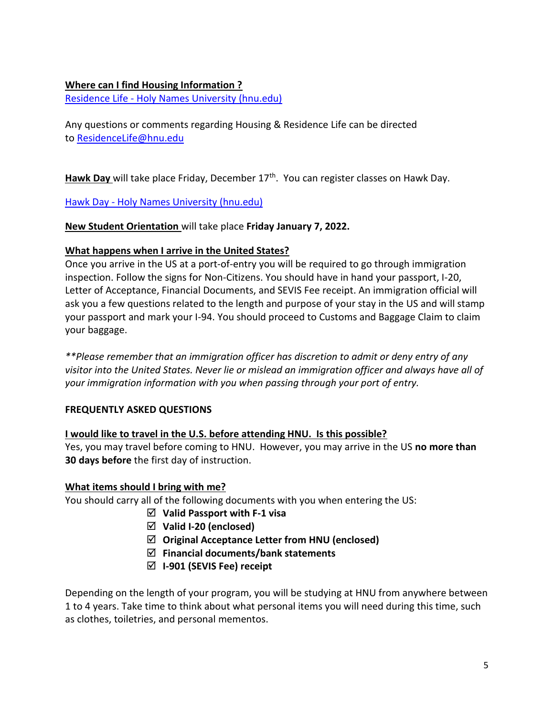# **Where can I find Housing Information ?**

Residence Life - [Holy Names University](https://hnu.edu/life-at-hnu-2/residence-life/) (hnu.edu)

Any questions or comments regarding Housing & Residence Life can be directed to [ResidenceLife@hnu.edu](mailto:ResidenceLife@hnu.edu)

Hawk Day will take place Friday, December 17<sup>th</sup>. You can register classes on Hawk Day.

Hawk Day - [Holy Names University \(hnu.edu\)](https://hnu.edu/admissions-aid/first-year-students/hawk-days/)

# **New Student Orientation** will take place **Friday January 7, 2022.**

# **What happens when I arrive in the United States?**

Once you arrive in the US at a port-of-entry you will be required to go through immigration inspection. Follow the signs for Non-Citizens. You should have in hand your passport, I-20, Letter of Acceptance, Financial Documents, and SEVIS Fee receipt. An immigration official will ask you a few questions related to the length and purpose of your stay in the US and will stamp your passport and mark your I-94. You should proceed to Customs and Baggage Claim to claim your baggage.

*\*\*Please remember that an immigration officer has discretion to admit or deny entry of any visitor into the United States. Never lie or mislead an immigration officer and always have all of your immigration information with you when passing through your port of entry.* 

# **FREQUENTLY ASKED QUESTIONS**

# **I would like to travel in the U.S. before attending HNU. Is this possible?**

Yes, you may travel before coming to HNU. However, you may arrive in the US **no more than 30 days before** the first day of instruction.

# **What items should I bring with me?**

You should carry all of the following documents with you when entering the US:

- **Valid Passport with F-1 visa**
- **Valid I-20 (enclosed)**
- **Original Acceptance Letter from HNU (enclosed)**
- **Financial documents/bank statements**
- **I-901 (SEVIS Fee) receipt**

Depending on the length of your program, you will be studying at HNU from anywhere between 1 to 4 years. Take time to think about what personal items you will need during this time, such as clothes, toiletries, and personal mementos.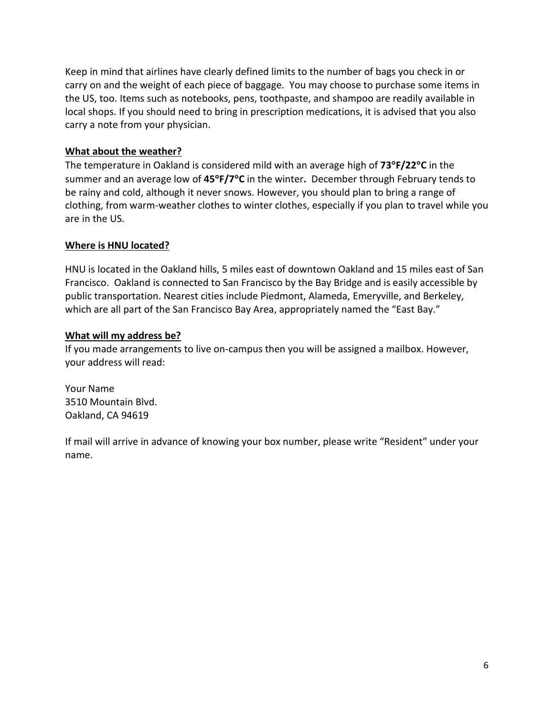Keep in mind that airlines have clearly defined limits to the number of bags you check in or carry on and the weight of each piece of baggage. You may choose to purchase some items in the US, too. Items such as notebooks, pens, toothpaste, and shampoo are readily available in local shops. If you should need to bring in prescription medications, it is advised that you also carry a note from your physician.

# **What about the weather?**

The temperature in Oakland is considered mild with an average high of **73F/22C** in the summer and an average low of **45F/7C** in the winter**.** December through February tends to be rainy and cold, although it never snows. However, you should plan to bring a range of clothing, from warm-weather clothes to winter clothes, especially if you plan to travel while you are in the US.

# **Where is HNU located?**

HNU is located in the Oakland hills, 5 miles east of downtown Oakland and 15 miles east of San Francisco. Oakland is connected to San Francisco by the Bay Bridge and is easily accessible by public transportation. Nearest cities include Piedmont, Alameda, Emeryville, and Berkeley, which are all part of the San Francisco Bay Area, appropriately named the "East Bay."

# **What will my address be?**

If you made arrangements to live on-campus then you will be assigned a mailbox. However, your address will read:

Your Name 3510 Mountain Blvd. Oakland, CA 94619

If mail will arrive in advance of knowing your box number, please write "Resident" under your name.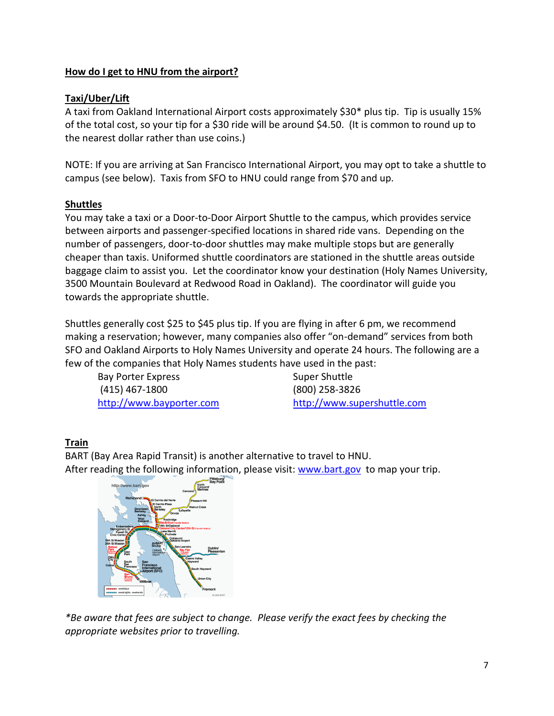# **How do I get to HNU from the airport?**

# **Taxi/Uber/Lift**

A taxi from Oakland International Airport costs approximately \$30\* plus tip. Tip is usually 15% of the total cost, so your tip for a \$30 ride will be around \$4.50. (It is common to round up to the nearest dollar rather than use coins.)

NOTE: If you are arriving at San Francisco International Airport, you may opt to take a shuttle to campus (see below). Taxis from SFO to HNU could range from \$70 and up.

# **Shuttles**

You may take a taxi or a Door-to-Door Airport Shuttle to the campus, which provides service between airports and passenger-specified locations in shared ride vans. Depending on the number of passengers, door-to-door shuttles may make multiple stops but are generally cheaper than taxis. Uniformed shuttle coordinators are stationed in the shuttle areas outside baggage claim to assist you. Let the coordinator know your destination (Holy Names University, 3500 Mountain Boulevard at Redwood Road in Oakland). The coordinator will guide you towards the appropriate shuttle.

Shuttles generally cost \$25 to \$45 plus tip. If you are flying in after 6 pm, we recommend making a reservation; however, many companies also offer "on-demand" services from both SFO and Oakland Airports to Holy Names University and operate 24 hours. The following are a few of the companies that Holy Names students have used in the past:

Bay Porter Express Super Shuttle (415) 467-1800 (800) 258-3826

[http://www.bayporter.com](http://www.bayporter.com/) [http://www.supershuttle.com](http://www.supershuttle.com/)

# **Train**

BART (Bay Area Rapid Transit) is another alternative to travel to HNU. After reading the following information, please visit: [www.bart.gov](http://www.bart.gov/) to map your trip.



*\*Be aware that fees are subject to change. Please verify the exact fees by checking the appropriate websites prior to travelling.*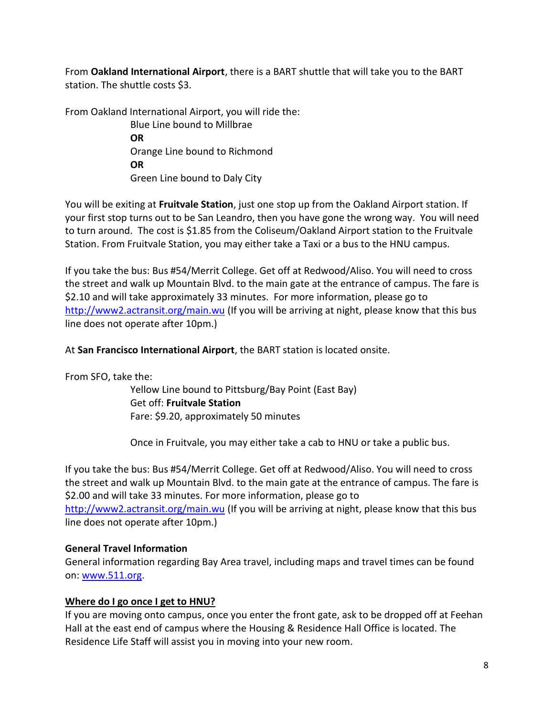From **Oakland International Airport**, there is a BART shuttle that will take you to the BART station. The shuttle costs \$3.

From Oakland International Airport, you will ride the:

Blue Line bound to Millbrae **OR** Orange Line bound to Richmond **OR** Green Line bound to Daly City

You will be exiting at **Fruitvale Station**, just one stop up from the Oakland Airport station. If your first stop turns out to be San Leandro, then you have gone the wrong way. You will need to turn around. The cost is \$1.85 from the Coliseum/Oakland Airport station to the Fruitvale Station. From Fruitvale Station, you may either take a Taxi or a bus to the HNU campus.

If you take the bus: Bus #54/Merrit College. Get off at Redwood/Aliso. You will need to cross the street and walk up Mountain Blvd. to the main gate at the entrance of campus. The fare is \$2.10 and will take approximately 33 minutes. For more information, please go to <http://www2.actransit.org/main.wu> (If you will be arriving at night, please know that this bus line does not operate after 10pm.)

At **San Francisco International Airport**, the BART station is located onsite.

From SFO, take the:

Yellow Line bound to Pittsburg/Bay Point (East Bay) Get off: **Fruitvale Station** Fare: \$9.20, approximately 50 minutes

Once in Fruitvale, you may either take a cab to HNU or take a public bus.

If you take the bus: Bus #54/Merrit College. Get off at Redwood/Aliso. You will need to cross the street and walk up Mountain Blvd. to the main gate at the entrance of campus. The fare is \$2.00 and will take 33 minutes. For more information, please go to <http://www2.actransit.org/main.wu> (If you will be arriving at night, please know that this bus line does not operate after 10pm.)

# **General Travel Information**

General information regarding Bay Area travel, including maps and travel times can be found on: [www.511.org.](http://www.511.org/)

# **Where do I go once I get to HNU?**

If you are moving onto campus, once you enter the front gate, ask to be dropped off at Feehan Hall at the east end of campus where the Housing & Residence Hall Office is located. The Residence Life Staff will assist you in moving into your new room.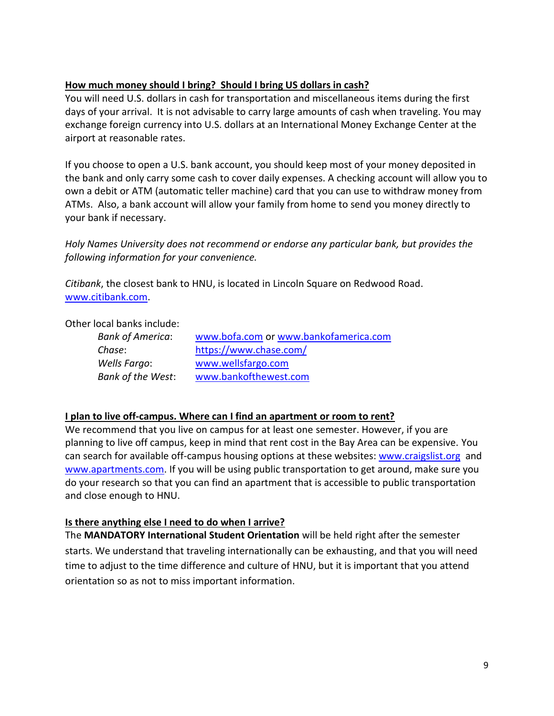# **How much money should I bring? Should I bring US dollars in cash?**

You will need U.S. dollars in cash for transportation and miscellaneous items during the first days of your arrival. It is not advisable to carry large amounts of cash when traveling. You may exchange foreign currency into U.S. dollars at an International Money Exchange Center at the airport at reasonable rates.

If you choose to open a U.S. bank account, you should keep most of your money deposited in the bank and only carry some cash to cover daily expenses. A checking account will allow you to own a debit or ATM (automatic teller machine) card that you can use to withdraw money from ATMs. Also, a bank account will allow your family from home to send you money directly to your bank if necessary.

*Holy Names University does not recommend or endorse any particular bank, but provides the following information for your convenience.*

*Citibank*, the closest bank to HNU, is located in Lincoln Square on Redwood Road. [www.citibank.com.](http://www.citibank.com/)

Other local banks include:

| <b>Bank of America:</b> | www.bofa.com or www.bankofamerica.com |
|-------------------------|---------------------------------------|
| Chase:                  | https://www.chase.com/                |
| Wells Fargo:            | www.wellsfargo.com                    |
| Bank of the West:       | www.bankofthewest.com                 |

# **I plan to live off-campus. Where can I find an apartment or room to rent?**

We recommend that you live on campus for at least one semester. However, if you are planning to live off campus, keep in mind that rent cost in the Bay Area can be expensive. You can search for available off-campus housing options at these websites[: www.craigslist.org](http://www.craigslist.org/) and [www.apartments.com.](http://www.apartments.com/) If you will be using public transportation to get around, make sure you do your research so that you can find an apartment that is accessible to public transportation and close enough to HNU.

# **Is there anything else I need to do when I arrive?**

The **MANDATORY International Student Orientation** will be held right after the semester starts. We understand that traveling internationally can be exhausting, and that you will need time to adjust to the time difference and culture of HNU, but it is important that you attend orientation so as not to miss important information.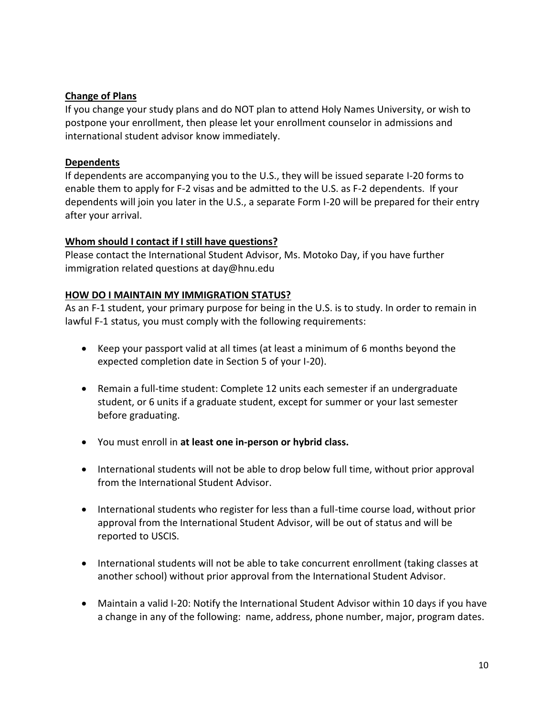#### **Change of Plans**

If you change your study plans and do NOT plan to attend Holy Names University, or wish to postpone your enrollment, then please let your enrollment counselor in admissions and international student advisor know immediately.

#### **Dependents**

If dependents are accompanying you to the U.S., they will be issued separate I-20 forms to enable them to apply for F-2 visas and be admitted to the U.S. as F-2 dependents. If your dependents will join you later in the U.S., a separate Form I-20 will be prepared for their entry after your arrival.

#### **Whom should I contact if I still have questions?**

Please contact the International Student Advisor, Ms. Motoko Day, if you have further immigration related questions at day@hnu.edu

#### **HOW DO I MAINTAIN MY IMMIGRATION STATUS?**

As an F-1 student, your primary purpose for being in the U.S. is to study. In order to remain in lawful F-1 status, you must comply with the following requirements:

- Keep your passport valid at all times (at least a minimum of 6 months beyond the expected completion date in Section 5 of your I-20).
- Remain a full-time student: Complete 12 units each semester if an undergraduate student, or 6 units if a graduate student, except for summer or your last semester before graduating.
- You must enroll in **at least one in-person or hybrid class.**
- International students will not be able to drop below full time, without prior approval from the International Student Advisor.
- International students who register for less than a full-time course load, without prior approval from the International Student Advisor, will be out of status and will be reported to USCIS.
- International students will not be able to take concurrent enrollment (taking classes at another school) without prior approval from the International Student Advisor.
- Maintain a valid I-20: Notify the International Student Advisor within 10 days if you have a change in any of the following: name, address, phone number, major, program dates.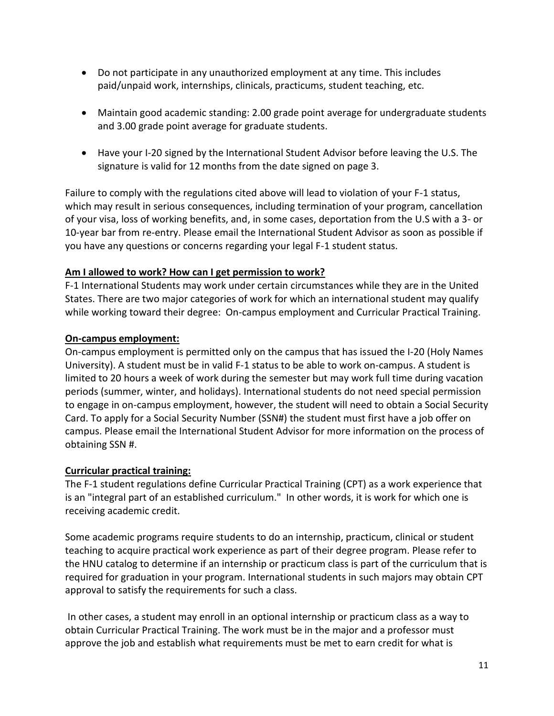- Do not participate in any unauthorized employment at any time. This includes paid/unpaid work, internships, clinicals, practicums, student teaching, etc.
- Maintain good academic standing: 2.00 grade point average for undergraduate students and 3.00 grade point average for graduate students.
- Have your I-20 signed by the International Student Advisor before leaving the U.S. The signature is valid for 12 months from the date signed on page 3.

Failure to comply with the regulations cited above will lead to violation of your F-1 status, which may result in serious consequences, including termination of your program, cancellation of your visa, loss of working benefits, and, in some cases, deportation from the U.S with a 3- or 10-year bar from re-entry. Please email the International Student Advisor as soon as possible if you have any questions or concerns regarding your legal F-1 student status.

# **Am I allowed to work? How can I get permission to work?**

F-1 International Students may work under certain circumstances while they are in the United States. There are two major categories of work for which an international student may qualify while working toward their degree: On-campus employment and Curricular Practical Training.

# **On-campus employment:**

On-campus employment is permitted only on the campus that has issued the I-20 (Holy Names University). A student must be in valid F-1 status to be able to work on-campus. A student is limited to 20 hours a week of work during the semester but may work full time during vacation periods (summer, winter, and holidays). International students do not need special permission to engage in on-campus employment, however, the student will need to obtain a Social Security Card. To apply for a Social Security Number (SSN#) the student must first have a job offer on campus. Please email the International Student Advisor for more information on the process of obtaining SSN #.

# **Curricular practical training:**

The F-1 student regulations define Curricular Practical Training (CPT) as a work experience that is an "integral part of an established curriculum." In other words, it is work for which one is receiving academic credit.

Some academic programs require students to do an internship, practicum, clinical or student teaching to acquire practical work experience as part of their degree program. Please refer to the HNU catalog to determine if an internship or practicum class is part of the curriculum that is required for graduation in your program. International students in such majors may obtain CPT approval to satisfy the requirements for such a class.

In other cases, a student may enroll in an optional internship or practicum class as a way to obtain Curricular Practical Training. The work must be in the major and a professor must approve the job and establish what requirements must be met to earn credit for what is